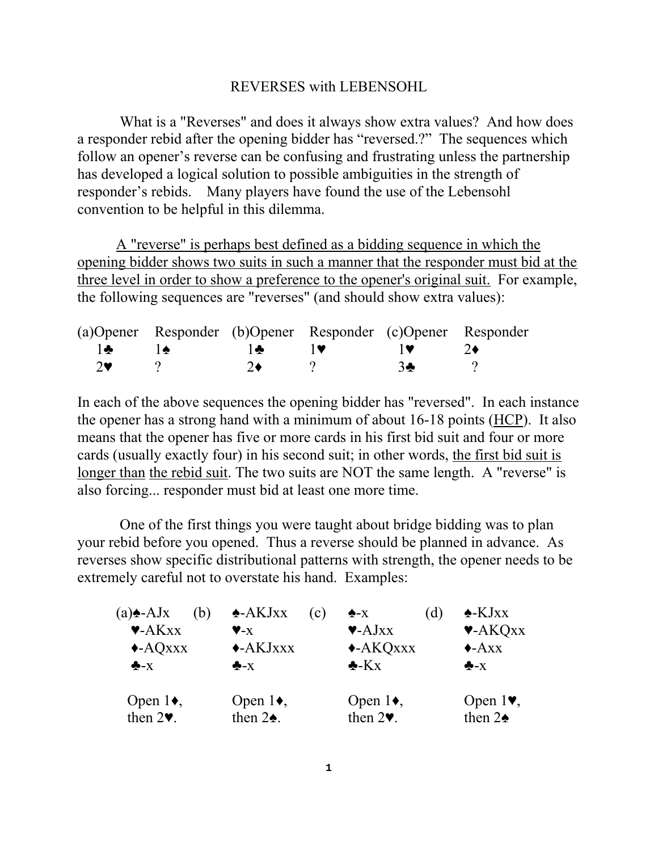## REVERSES with LEBENSOHL

 What is a "Reverses" and does it always show extra values? And how does a responder rebid after the opening bidder has "reversed.?" The sequences which follow an opener's reverse can be confusing and frustrating unless the partnership has developed a logical solution to possible ambiguities in the strength of responder's rebids. Many players have found the use of the Lebensohl convention to be helpful in this dilemma.

A "reverse" is perhaps best defined as a bidding sequence in which the opening bidder shows two suits in such a manner that the responder must bid at the three level in order to show a preference to the opener's original suit. For example, the following sequences are "reverses" (and should show extra values):

|               | (a) Opener Responder (b) Opener Responder (c) Opener Responder                                                                                                                                                                                                                                                                                      |                  |                                                                  |               |  |
|---------------|-----------------------------------------------------------------------------------------------------------------------------------------------------------------------------------------------------------------------------------------------------------------------------------------------------------------------------------------------------|------------------|------------------------------------------------------------------|---------------|--|
| $\mathbf{A}$  | $\overline{a}$ , $\overline{a}$ , $\overline{a}$ , $\overline{a}$ , $\overline{a}$ , $\overline{a}$ , $\overline{a}$ , $\overline{a}$ , $\overline{a}$ , $\overline{a}$ , $\overline{a}$ , $\overline{a}$ , $\overline{a}$ , $\overline{a}$ , $\overline{a}$ , $\overline{a}$ , $\overline{a}$ , $\overline{a}$ , $\overline{a}$ , $\overline{a}$ , |                  | $\mathbf{v}$ $\mathbf{v}$ $\mathbf{v}$ $\mathbf{v}$ $\mathbf{v}$ |               |  |
| $2^{\bullet}$ |                                                                                                                                                                                                                                                                                                                                                     | 2♦ $\rightarrow$ |                                                                  | $\mathcal{B}$ |  |

In each of the above sequences the opening bidder has "reversed". In each instance the opener has a strong hand with a minimum of about 16-18 points (HCP). It also means that the opener has five or more cards in his first bid suit and four or more cards (usually exactly four) in his second suit; in other words, the first bid suit is longer than the rebid suit. The two suits are NOT the same length. A "reverse" is also forcing... responder must bid at least one more time.

 One of the first things you were taught about bridge bidding was to plan your rebid before you opened. Thus a reverse should be planned in advance. As reverses show specific distributional patterns with strength, the opener needs to be extremely careful not to overstate his hand. Examples:

| $(a)$ $\triangle$ -AJx<br>(b)<br>$\blacktriangleright$ -AK $XX$<br>$\triangle$ -AQxxx<br>$\clubsuit$ -X | $\triangle$ -AKJxx<br>$V - X$<br>$\triangle$ AKJxxx<br>$\clubsuit$ -X | (c) | $\triangle$ -X<br>$\blacktriangledown$ -AJxx<br>$\triangle$ AKQxxx<br>$\triangle$ -Kx | <sub>d</sub> | $\triangle$ -KJxx<br>$\blacktriangleright$ -AKQxx<br>$\triangle$ -Axx<br>$\clubsuit$ -X |
|---------------------------------------------------------------------------------------------------------|-----------------------------------------------------------------------|-----|---------------------------------------------------------------------------------------|--------------|-----------------------------------------------------------------------------------------|
| Open $1\bullet$ ,<br>then $2\Psi$ .                                                                     | Open $1\bullet$ ,<br>then $2\spadesuit$ .                             |     | Open $1\bullet$ ,<br>then $2\Psi$ .                                                   |              | Open $1\blacktriangledown$ ,<br>then $2\spadesuit$                                      |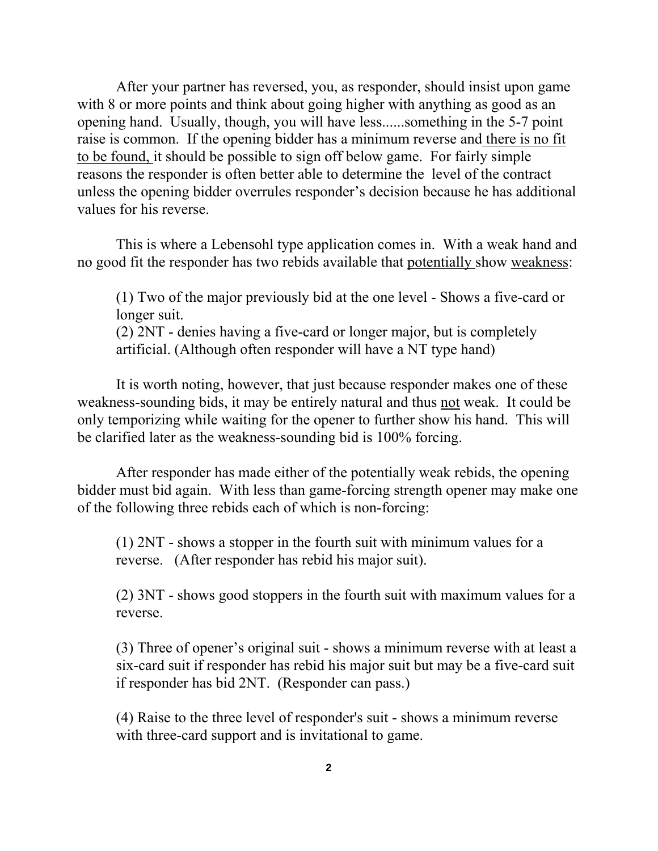After your partner has reversed, you, as responder, should insist upon game with 8 or more points and think about going higher with anything as good as an opening hand. Usually, though, you will have less......something in the 5-7 point raise is common. If the opening bidder has a minimum reverse and there is no fit to be found, it should be possible to sign off below game. For fairly simple reasons the responder is often better able to determine the level of the contract unless the opening bidder overrules responder's decision because he has additional values for his reverse.

This is where a Lebensohl type application comes in. With a weak hand and no good fit the responder has two rebids available that potentially show weakness:

(1) Two of the major previously bid at the one level - Shows a five-card or longer suit. (2) 2NT - denies having a five-card or longer major, but is completely artificial. (Although often responder will have a NT type hand)

It is worth noting, however, that just because responder makes one of these weakness-sounding bids, it may be entirely natural and thus not weak. It could be only temporizing while waiting for the opener to further show his hand. This will be clarified later as the weakness-sounding bid is 100% forcing.

After responder has made either of the potentially weak rebids, the opening bidder must bid again. With less than game-forcing strength opener may make one of the following three rebids each of which is non-forcing:

(1) 2NT - shows a stopper in the fourth suit with minimum values for a reverse. (After responder has rebid his major suit).

(2) 3NT - shows good stoppers in the fourth suit with maximum values for a reverse.

(3) Three of opener's original suit - shows a minimum reverse with at least a six-card suit if responder has rebid his major suit but may be a five-card suit if responder has bid 2NT. (Responder can pass.)

(4) Raise to the three level of responder's suit - shows a minimum reverse with three-card support and is invitational to game.